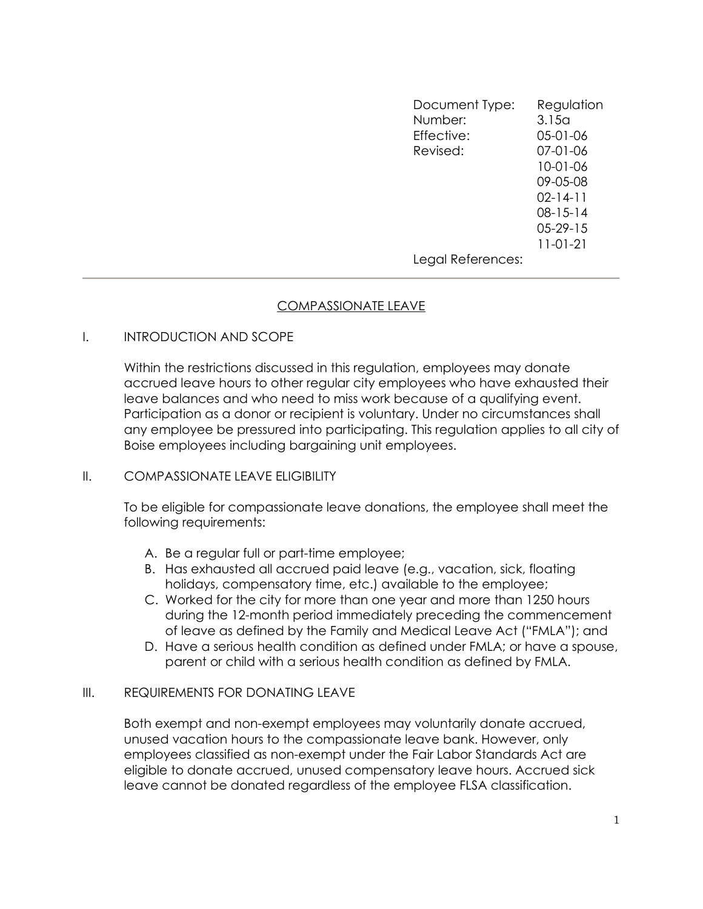Document Type: Regulation Number: 3.15a Effective: 05-01-06 Revised: 07-01-06 10-01-06 09-05-08 02-14-11 08-15-14 05-29-15 11-01-21 Legal References:

## COMPASSIONATE LEAVE

# I. INTRODUCTION AND SCOPE

Within the restrictions discussed in this regulation, employees may donate accrued leave hours to other regular city employees who have exhausted their leave balances and who need to miss work because of a qualifying event. Participation as a donor or recipient is voluntary. Under no circumstances shall any employee be pressured into participating. This regulation applies to all city of Boise employees including bargaining unit employees.

## II. COMPASSIONATE LEAVE FLIGIBILITY

To be eligible for compassionate leave donations, the employee shall meet the following requirements:

- A. Be a regular full or part-time employee;
- B. Has exhausted all accrued paid leave (e.g., vacation, sick, floating holidays, compensatory time, etc.) available to the employee;
- C. Worked for the city for more than one year and more than 1250 hours during the 12-month period immediately preceding the commencement of leave as defined by the Family and Medical Leave Act ("FMLA"); and
- D. Have a serious health condition as defined under FMLA; or have a spouse, parent or child with a serious health condition as defined by FMLA.

## III. REQUIREMENTS FOR DONATING LEAVE

Both exempt and non-exempt employees may voluntarily donate accrued, unused vacation hours to the compassionate leave bank. However, only employees classified as non-exempt under the Fair Labor Standards Act are eligible to donate accrued, unused compensatory leave hours. Accrued sick leave cannot be donated regardless of the employee FLSA classification.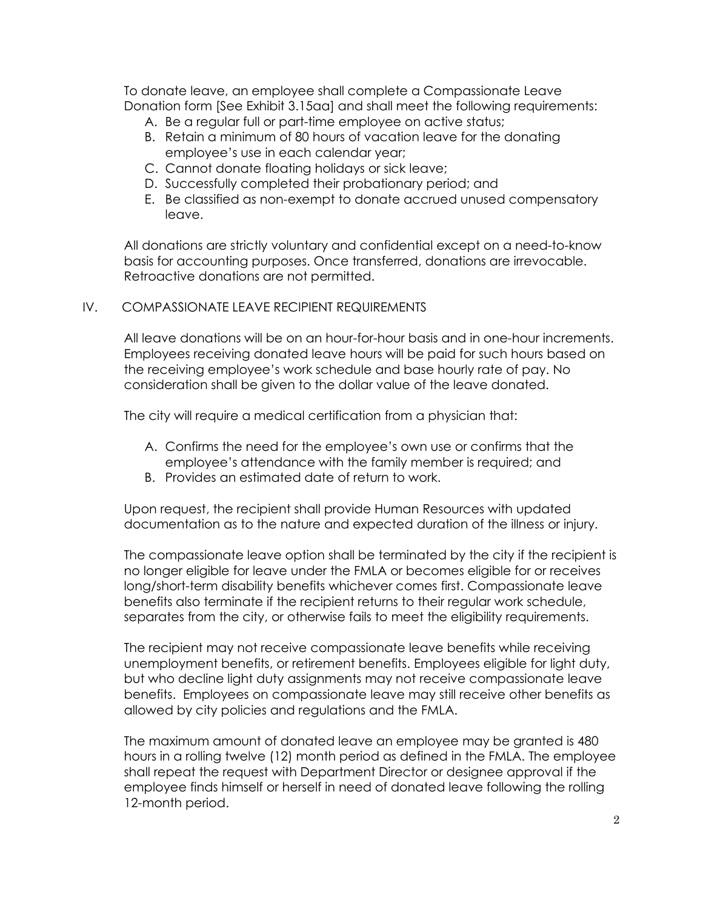To donate leave, an employee shall complete a Compassionate Leave Donation form [See Exhibit 3.15aa] and shall meet the following requirements:

- A. Be a regular full or part-time employee on active status;
- B. Retain a minimum of 80 hours of vacation leave for the donating employee's use in each calendar year;
- C. Cannot donate floating holidays or sick leave;
- D. Successfully completed their probationary period; and
- E. Be classified as non-exempt to donate accrued unused compensatory leave.

All donations are strictly voluntary and confidential except on a need-to-know basis for accounting purposes. Once transferred, donations are irrevocable. Retroactive donations are not permitted.

### IV. COMPASSIONATE LEAVE RECIPIENT REQUIREMENTS

All leave donations will be on an hour-for-hour basis and in one-hour increments. Employees receiving donated leave hours will be paid for such hours based on the receiving employee's work schedule and base hourly rate of pay. No consideration shall be given to the dollar value of the leave donated.

The city will require a medical certification from a physician that:

- A. Confirms the need for the employee's own use or confirms that the employee's attendance with the family member is required; and
- B. Provides an estimated date of return to work.

Upon request, the recipient shall provide Human Resources with updated documentation as to the nature and expected duration of the illness or injury.

The compassionate leave option shall be terminated by the city if the recipient is no longer eligible for leave under the FMLA or becomes eligible for or receives long/short-term disability benefits whichever comes first. Compassionate leave benefits also terminate if the recipient returns to their regular work schedule, separates from the city, or otherwise fails to meet the eligibility requirements.

The recipient may not receive compassionate leave benefits while receiving unemployment benefits, or retirement benefits. Employees eligible for light duty, but who decline light duty assignments may not receive compassionate leave benefits. Employees on compassionate leave may still receive other benefits as allowed by city policies and regulations and the FMLA.

The maximum amount of donated leave an employee may be granted is 480 hours in a rolling twelve (12) month period as defined in the FMLA. The employee shall repeat the request with Department Director or designee approval if the employee finds himself or herself in need of donated leave following the rolling 12-month period.